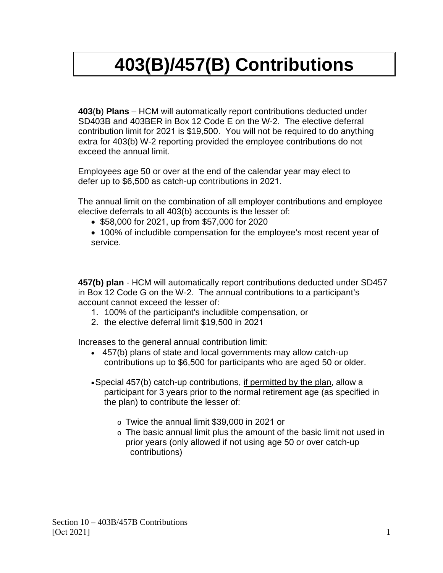## **403(B)/457(B) Contributions**

**403**(**b**) **Plans** – HCM will automatically report contributions deducted under SD403B and 403BER in Box 12 Code E on the W-2. The elective deferral contribution limit for 2021 is \$19,500. You will not be required to do anything extra for 403(b) W-2 reporting provided the employee contributions do not exceed the annual limit.

Employees age 50 or over at the end of the calendar year may elect to defer up to \$6,500 as catch-up contributions in 2021.

The annual limit on the combination of all employer contributions and employee elective deferrals to all 403(b) accounts is the lesser of:

- \$58,000 for 2021, up from \$57,000 for 2020
- 100% of includible compensation for the employee's most recent year of service.

**457(b) plan** - HCM will automatically report contributions deducted under SD457 in Box 12 Code G on the W-2. The annual contributions to a participant's account cannot exceed the lesser of:

- 1. 100% of the participant's includible compensation, or
- 2. the elective deferral limit \$19,500 in 2021

Increases to the general annual contribution limit:

- 457(b) plans of state and local governments may allow catch-up contributions up to \$6,500 for participants who are aged 50 or older.
- •Special 457(b) catch-up contributions, if permitted by the plan, allow a participant for 3 years prior to the normal retirement age (as specified in the plan) to contribute the lesser of:
	- o Twice the annual limit \$39,000 in 2021 or
	- o The basic annual limit plus the amount of the basic limit not used in prior years (only allowed if not using age 50 or over catch-up contributions)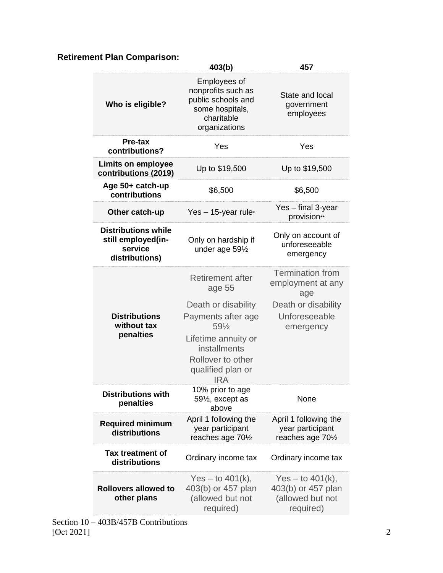## **Retirement Plan Comparison:**

|                                                                               | 403(b)                                                                                                                                                                                 | 457                                                                                                      |
|-------------------------------------------------------------------------------|----------------------------------------------------------------------------------------------------------------------------------------------------------------------------------------|----------------------------------------------------------------------------------------------------------|
| Who is eligible?                                                              | Employees of<br>nonprofits such as<br>public schools and<br>some hospitals,<br>charitable<br>organizations                                                                             | State and local<br>government<br>employees                                                               |
| Pre-tax<br>contributions?                                                     | Yes                                                                                                                                                                                    | Yes                                                                                                      |
| <b>Limits on employee</b><br>contributions (2019)                             | Up to \$19,500                                                                                                                                                                         | Up to \$19,500                                                                                           |
| Age 50+ catch-up<br>contributions                                             | \$6,500                                                                                                                                                                                | \$6,500                                                                                                  |
| Other catch-up                                                                | Yes $-15$ -year rule <sup>*</sup>                                                                                                                                                      | Yes - final 3-year<br>provision**                                                                        |
| <b>Distributions while</b><br>still employed(in-<br>service<br>distributions) | Only on hardship if<br>under age 591/2                                                                                                                                                 | Only on account of<br>unforeseeable<br>emergency                                                         |
| <b>Distributions</b><br>without tax<br>penalties                              | <b>Retirement after</b><br>age 55<br>Death or disability<br>Payments after age<br>591/2<br>Lifetime annuity or<br>installments<br>Rollover to other<br>qualified plan or<br><b>IRA</b> | <b>Termination from</b><br>employment at any<br>age<br>Death or disability<br>Unforeseeable<br>emergency |
| <b>Distributions with</b><br>penalties                                        | 10% prior to age<br>59½, except as<br>above                                                                                                                                            | None                                                                                                     |
| <b>Required minimum</b><br>distributions                                      | April 1 following the<br>year participant<br>reaches age 701/2                                                                                                                         | April 1 following the<br>year participant<br>reaches age 701/2                                           |
| Tax treatment of<br>distributions                                             | Ordinary income tax                                                                                                                                                                    | Ordinary income tax                                                                                      |
| <b>Rollovers allowed to</b><br>other plans                                    | Yes – to $401(k)$ ,<br>403(b) or 457 plan<br>(allowed but not<br>required)                                                                                                             | $Yes - to 401(k),$<br>403(b) or 457 plan<br>(allowed but not<br>required)                                |

Section 10 – 403B/457B Contributions [Oct 2021] 2